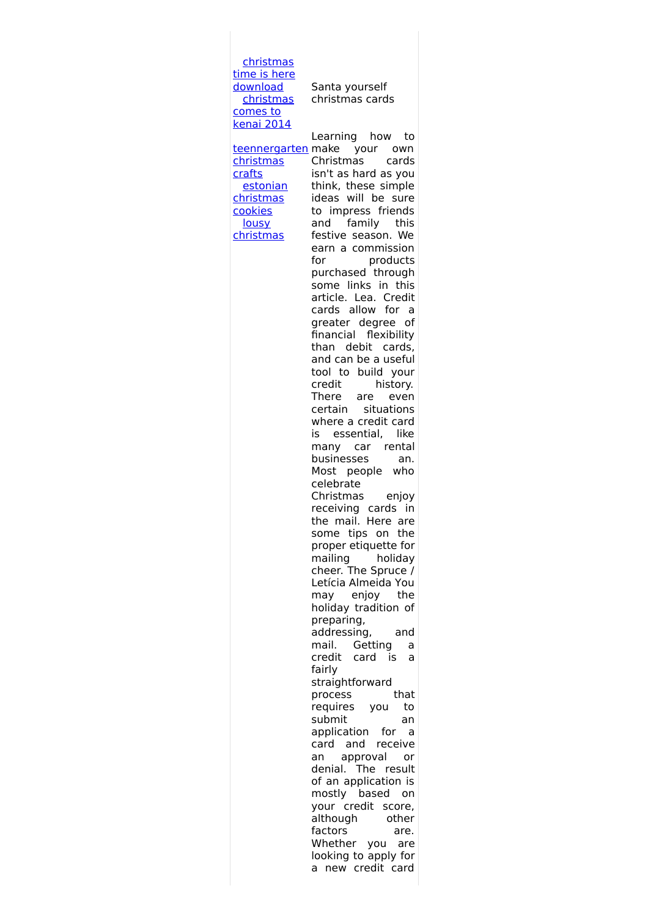[christmas](http://foto-ms.pl/detail/news/118007/chrismas/) time is here download [christmas](http://foto-ms.pl/detail/news/059442/chrismas/) comes to kenai 2014 [teennergarten](http://foto-ms.pl/detail/news/712491/chrismas/) make your own christmas crafts estonian [christmas](http://foto-ms.pl/detail/news/829909/chrismas/) cookies lousy [christmas](http://foto-ms.pl/detail/news/550441/chrismas/) Santa yourself christmas cards Learning how to Christmas cards isn't as hard as you think, these simple ideas will be sure to impress friends and family this festive season. We earn a commission for products purchased through some links in this article. Lea. Credit cards allow for a greater degree of financial flexibility than debit cards, and can be a useful tool to build your credit history. There are even certain situations where a credit card is essential, like many car rental businesses an. Most people who celebrate Christmas enjoy receiving cards in the mail. Here are some tips on the proper etiquette for mailing holiday cheer. The Spruce / Letícia Almeida You may enjoy the holiday tradition of preparing, addressing, and mail. Getting a credit card is a fairly straightforward process that requires you to submit an application for a card and receive an approval or denial. The result of an application is mostly based on your credit score, although other factors are. Whether you are looking to apply for a new credit card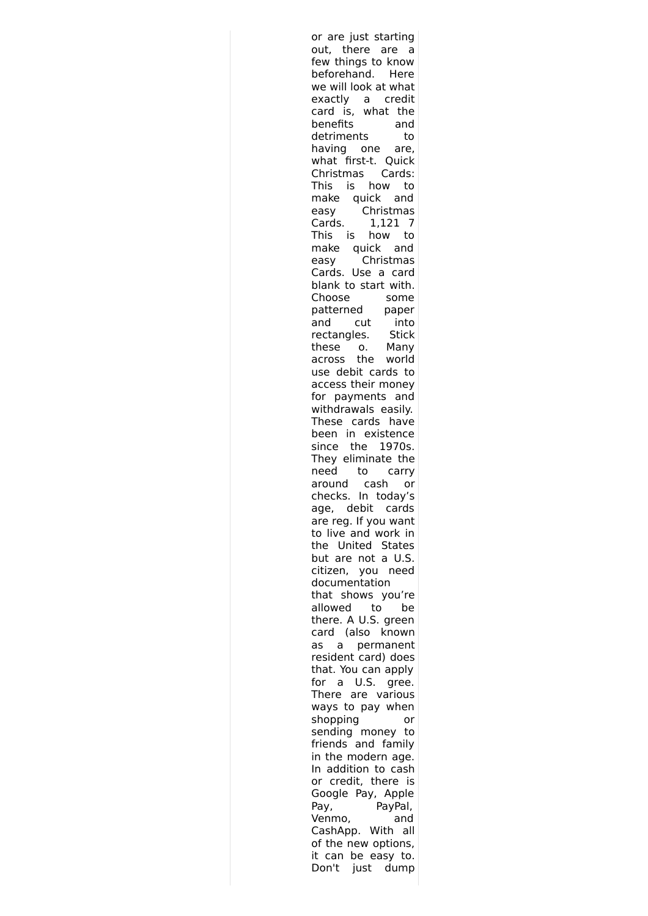or are just starting out, there are a few things to know beforehand. Here we will look at what exactly a credit card is, what the benefits and detriments to having one are, what first-t. Quick Christmas Cards: This is how to make quick and easy Christmas Cards. 1,121 7 This is how to make quick and easy Christmas Cards. Use a card blank to start with. Choose some patterned paper and cut into rectangles. Stick these o. Many across the world use debit cards to access their money for payments and withdrawals easily. These cards have been in existence since the 1970s. They eliminate the need to carry around cash or checks. In today's age, debit cards are reg. If you want to live and work in the United States but are not a U.S. citizen, you need documentation that shows you're allowed to be there. A U.S. green card (also known as a permanent resident card) does that. You can apply for a U.S. gree. There are various ways to pay when shopping or sending money to friends and family in the modern age. In addition to cash or credit, there is Google Pay, Apple Pay, PayPal, Venmo, and CashApp. With all of the new options, it can be easy to. Don't just dump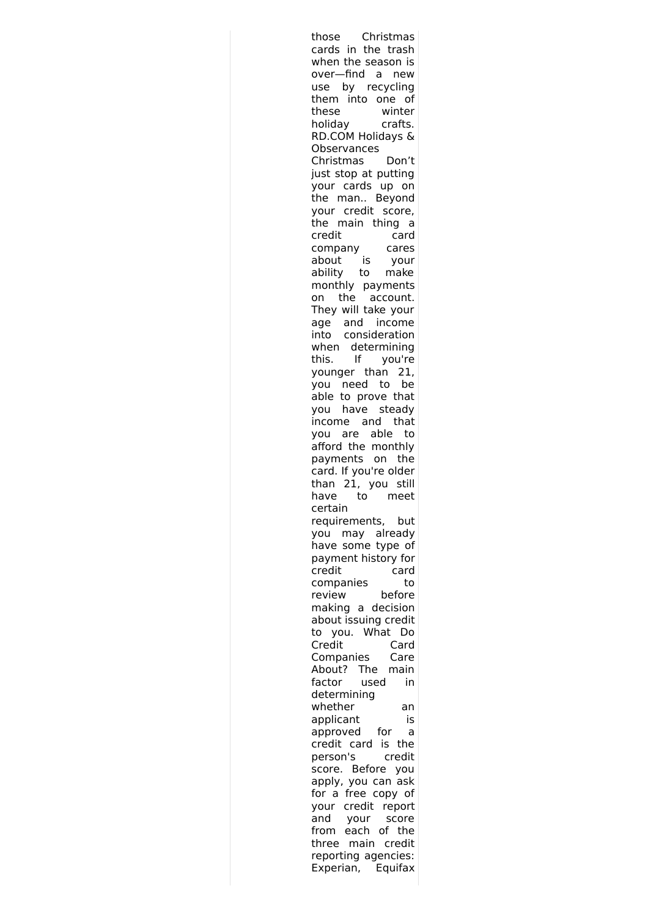| Christmas<br>those                                       |
|----------------------------------------------------------|
| cards in the trash                                       |
| when the season is                                       |
| over—find a<br>new                                       |
| by recycling<br>use                                      |
| into one of<br>them                                      |
| winter                                                   |
| these                                                    |
| holiday<br>crafts.                                       |
| RD.COM Holidays &                                        |
| Observances                                              |
| Christmas<br>Don't                                       |
| just stop at putting                                     |
| your cards up on                                         |
| the<br>man<br>Beyond                                     |
| your credit score,                                       |
| the main thing a                                         |
| credit<br>card                                           |
| company<br>cares                                         |
| about<br>is<br>your                                      |
| ability to<br>make                                       |
|                                                          |
| monthly payments                                         |
| the account.<br>on                                       |
| They will take your                                      |
| and income<br>age                                        |
| consideration<br>into                                    |
| when determining                                         |
| If<br>this.<br>you're                                    |
| younger than 21,                                         |
| need to<br>be<br>you                                     |
| able to prove that                                       |
| have steady<br>you                                       |
| income and that                                          |
| to                                                       |
|                                                          |
| you are able to<br>afford the monthly<br>payments on the |
|                                                          |
| card. If you're older                                    |
| than 21, you still                                       |
| to<br>meet<br>have                                       |
| certain                                                  |
| requirements,<br>but                                     |
| may already<br>vou                                       |
| have some type of                                        |
| payment history for                                      |
| credit<br>card                                           |
| companies<br>to                                          |
| review<br>before                                         |
| making a decision                                        |
| about issuing credit                                     |
| What<br>to<br>you.<br>Do                                 |
|                                                          |
| Credit<br>Card                                           |
| Companies<br>Care                                        |
| About?<br>The<br>main                                    |
| factor<br>in<br>used                                     |
| determining                                              |
| whether<br>an                                            |
| applicant<br>is                                          |
| approved<br>for<br>a                                     |
| card is<br>credit<br>the                                 |
| person's<br>credit                                       |
| score. Before<br>you                                     |
| apply, you can ask                                       |
| for a free copy of                                       |
| credit<br>report                                         |
| your                                                     |
| and<br>your<br>score                                     |
| each<br>from<br>of the                                   |
| main credit<br>three                                     |
| reporting agencies:                                      |
| Experian, Equifax                                        |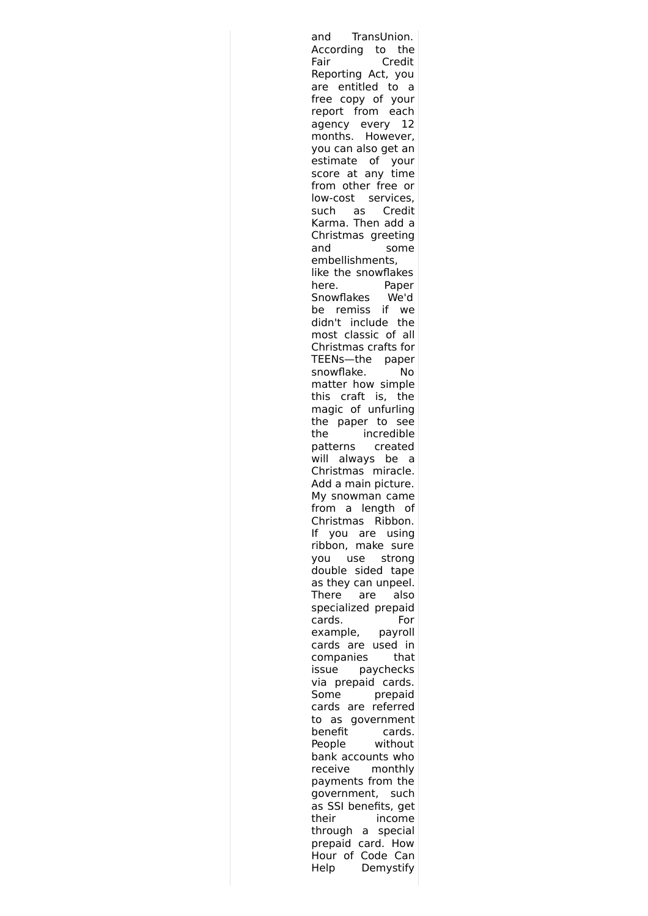| TransUnion.<br>and         |
|----------------------------|
| According<br>to the        |
| Fair<br>Credit             |
| Reporting Act, you         |
| are entitled to a          |
| copy of your<br>free       |
| report from each           |
| agency every<br>12         |
| months. However,           |
| you can also get an        |
| estimate of<br>your        |
| score at any time          |
| from other free or         |
| low-cost services,         |
| such as Credit             |
| Karma. Then add a          |
| Christmas greeting         |
| and<br>some                |
| embellishments,            |
| like the snowflakes        |
| Paper<br>here.             |
| Snowflakes<br>We'd         |
| if<br>remiss<br>be l<br>we |
| didn't include<br>the      |
| most classic of all        |
| Christmas crafts for       |
| TEENs-the paper            |
| snowflake.<br>No           |
| matter how simple          |
| this craft<br>is, the      |
| magic of unfurling         |
| the paper to see           |
| incredible<br>the          |
| patterns created           |
| always be<br>will<br>- a   |
| Christmas miracle.         |
| Add a main picture.        |
| My snowman came            |
| from a length of           |
|                            |
| Christmas Ribbon.          |
| ١f<br>you are using        |
| ribbon, make sure          |
| you use<br>strong          |
| double sided tape          |
| as they can unpeel.        |
| are<br>also<br>There       |
| specialized prepaid        |
| cards.<br>For              |
| example,<br>payroll        |
| cards are used<br>in       |
| companies<br>that          |
| paychecks<br>issue         |
| prepaid cards.<br>via      |
| prepaid<br>Some            |
| referred<br>cards<br>are   |
| government<br>to as        |
| benefit<br>cards.          |
| without<br>People          |
| bank accounts who          |
| receive<br>monthly         |
| payments from the          |
| government,<br>such        |
| as SSI benefits, get       |
| their<br>income            |
| through<br>a special       |
| prepaid card. How          |
| .<br>Hour of Code Can      |
| Demystify<br>Help          |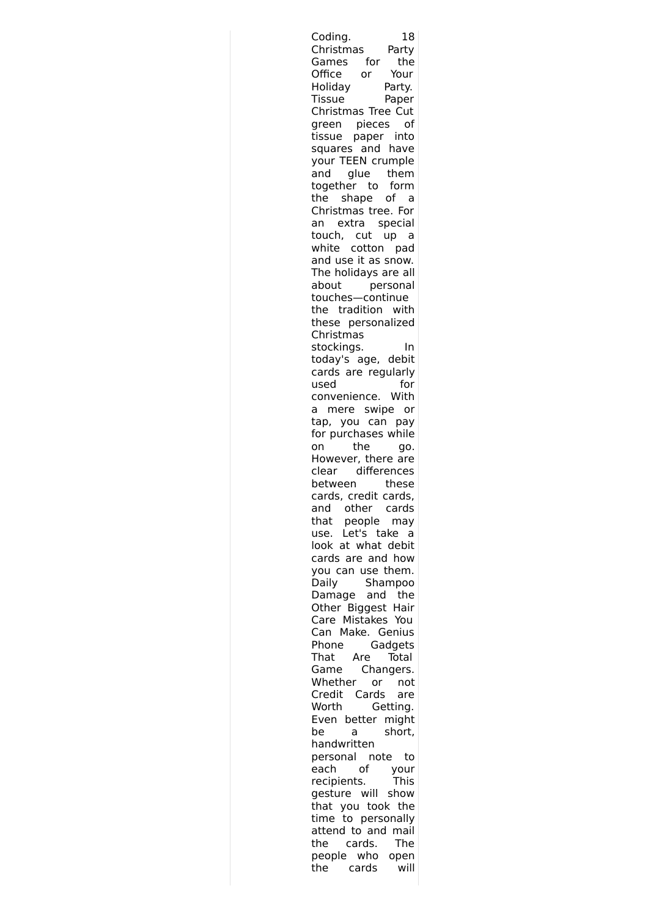| Coding.<br>18                           |  |
|-----------------------------------------|--|
| Christmas<br>Party                      |  |
| for<br>Games<br>the                     |  |
| Your<br>Office or                       |  |
| Holiday<br>Party.                       |  |
| <b>Tissue</b>                           |  |
| Paper                                   |  |
| Christmas Tree Cut                      |  |
| green pieces of<br>tissue paper into    |  |
|                                         |  |
| squares and have                        |  |
| your TEEN crumple                       |  |
|                                         |  |
| and glue them                           |  |
| together to form                        |  |
| the shape of a                          |  |
| Christmas tree. For                     |  |
|                                         |  |
| an extra special                        |  |
| touch, cut up a<br>white cotton pad     |  |
|                                         |  |
| and use it as snow.                     |  |
| The holidays are all                    |  |
| about personal                          |  |
| touches-continue                        |  |
|                                         |  |
| the tradition with                      |  |
| these personalized                      |  |
| Christmas                               |  |
| stockings.<br>In                        |  |
|                                         |  |
| today's age, debit                      |  |
| cards are regularly                     |  |
| for<br>used                             |  |
| convenience. With                       |  |
| a mere swipe or                         |  |
| tap, you can pay                        |  |
|                                         |  |
| for purchases while                     |  |
| on<br>the<br>go.                        |  |
| However, there are                      |  |
| clear differences                       |  |
| between<br>these                        |  |
| cards, credit cards,                    |  |
|                                         |  |
| and other cards                         |  |
| that<br>people<br>may                   |  |
| use.<br>Let's take a                    |  |
| look at what debit                      |  |
| cards are and how                       |  |
|                                         |  |
|                                         |  |
| you can use them.                       |  |
| Daily<br>Shampoo                        |  |
| Damage and<br>the                       |  |
|                                         |  |
| Other Biggest Hair                      |  |
| Care Mistakes You                       |  |
| Can<br>Make. Genius                     |  |
| Gadgets<br>Phone                        |  |
| Total<br>That<br>Are                    |  |
| Changers.<br>Game                       |  |
| Whether<br>or<br>not                    |  |
|                                         |  |
| Credit Cards<br>are                     |  |
| Worth<br>Getting.                       |  |
| better might<br>Even                    |  |
| short,<br>be<br>a                       |  |
| handwritten                             |  |
| personal note to                        |  |
|                                         |  |
| оf<br>each<br>your                      |  |
| recipients.<br>This                     |  |
| gesture will<br>show                    |  |
| that you took the                       |  |
| to personally<br>time                   |  |
| attend to and mail                      |  |
| cards.<br>The                           |  |
| the                                     |  |
| people who open<br>cards<br>will<br>the |  |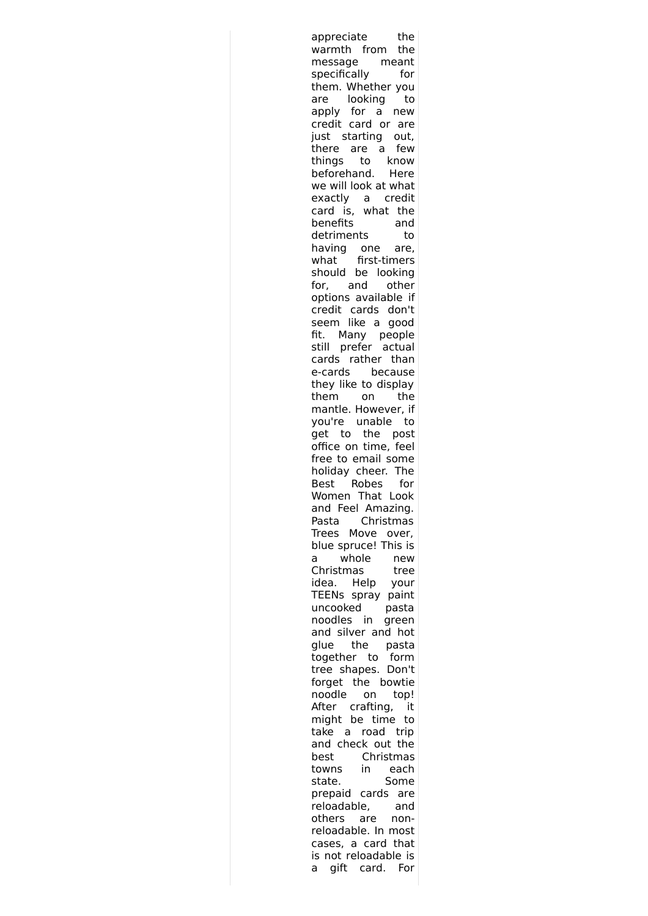| appreciate<br>the                                           |
|-------------------------------------------------------------|
| warmth from the                                             |
| message meant<br>specifically for                           |
|                                                             |
| them. Whether you                                           |
| are looking<br>to                                           |
| apply for a new                                             |
| credit card or are                                          |
| just starting out,                                          |
| there are a few                                             |
| things to know<br>beforehand. Here                          |
|                                                             |
| we will look at what                                        |
| exactly a credit<br>card is, what the                       |
|                                                             |
| benefits<br>and                                             |
| detriments<br>to                                            |
| having one are,<br>what first-timers                        |
|                                                             |
| should be looking                                           |
| for, and other<br>options available if                      |
|                                                             |
| credit cards don't<br>seem like a good                      |
| fit. Many people                                            |
| still prefer actual                                         |
| cards rather than                                           |
| e-cards because                                             |
| they like to display                                        |
|                                                             |
| them on the<br>mantle. However, if                          |
|                                                             |
|                                                             |
| you're unable to<br>get to the post<br>office on time, feel |
| free to email some                                          |
| holiday cheer. The                                          |
| Best Robes for                                              |
| Women That Look                                             |
| and Feel Amazing.                                           |
| Christmas<br>Pasta                                          |
| Trees Move over,                                            |
| blue spruce! This is                                        |
| whole<br>a<br>new                                           |
| Christmas<br>tree                                           |
| Help<br>idea.<br>your                                       |
| TEENs spray paint                                           |
| uncooked<br>pasta                                           |
| noodles in<br>green                                         |
| and silver and hot                                          |
| the<br>glue<br>pasta                                        |
| together to<br>form                                         |
| tree shapes. Don't                                          |
| forget the bowtie                                           |
| noodle<br>on<br>top!                                        |
| After crafting,<br>it<br>might be time                      |
| to<br>road<br>take<br>trip                                  |
| a<br>and check out the                                      |
|                                                             |
|                                                             |
| Christmas<br>best                                           |
| in<br>towns<br>each                                         |
| state.<br>Some                                              |
| prepaid cards<br>are                                        |
| reloadable,<br>and                                          |
| others<br>are<br>non-                                       |
| reloadable. In most                                         |
| cases, a card that<br>is not reloadable is                  |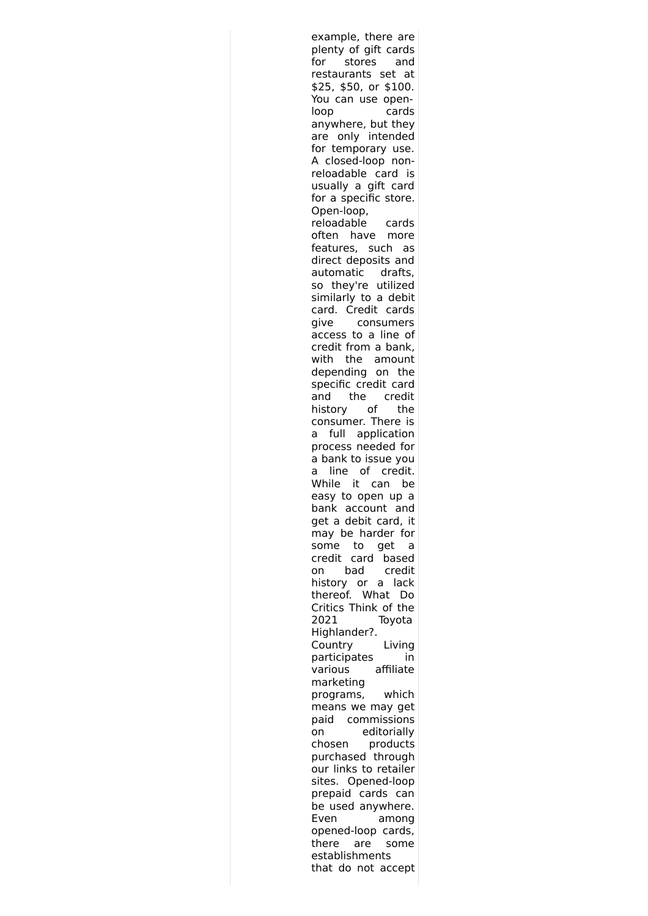| example, there are                        |
|-------------------------------------------|
| plenty of gift cards                      |
| for<br>stores<br>and                      |
| restaurants set<br>at                     |
| \$25, \$50, or \$100.                     |
| You can use open-                         |
| loop<br>cards                             |
| anywhere, but they                        |
|                                           |
| are only intended                         |
| for temporary use.                        |
| A closed-loop non-                        |
| reloadable card is<br>usually a gift card |
|                                           |
| for a specific store.                     |
| Open-loop,                                |
| reloadable<br>cards                       |
| often<br>have more                        |
| features, such<br>as                      |
| direct deposits and                       |
| automatic drafts,                         |
|                                           |
| so they're utilized                       |
| similarly to a debit                      |
| card. Credit<br>cards                     |
| give<br>consumers                         |
| access to a line of                       |
| credit from a bank,                       |
| the amount<br>with                        |
| depending on<br>the                       |
| specific credit card                      |
| the credit<br>and                         |
| history of<br>the                         |
|                                           |
| consumer. There is                        |
| full application<br>a                     |
| process needed for                        |
| a bank to issue you                       |
| line of credit.<br>a                      |
| While<br>it<br>can<br>be                  |
| easy to open up a                         |
| bank account and                          |
| get a debit card,<br>it                   |
| may be harder for                         |
| to<br>some<br>get                         |
| a                                         |
| credit<br>card<br>based                   |
| bad<br>credit<br>on                       |
| history or a lack                         |
| thereof.<br>What<br>Do                    |
| Critics Think of the                      |
| 2021<br>Toyota                            |
| Highlander?.                              |
| Living<br>Country                         |
| participates<br>in                        |
| affiliate<br>various                      |
| marketing                                 |
| which<br>programs,                        |
|                                           |
| means we may get                          |
| paid commissions                          |
| editorially<br>on                         |
| chosen<br>products                        |
| purchased through                         |
| our links to retailer                     |
| Opened-loop<br>sites.                     |
| prepaid cards can                         |
| be used anywhere.                         |
| Even<br>among                             |
| opened-loop cards,                        |
| there<br>are                              |
| some                                      |
| establishments<br>that do not accept      |
|                                           |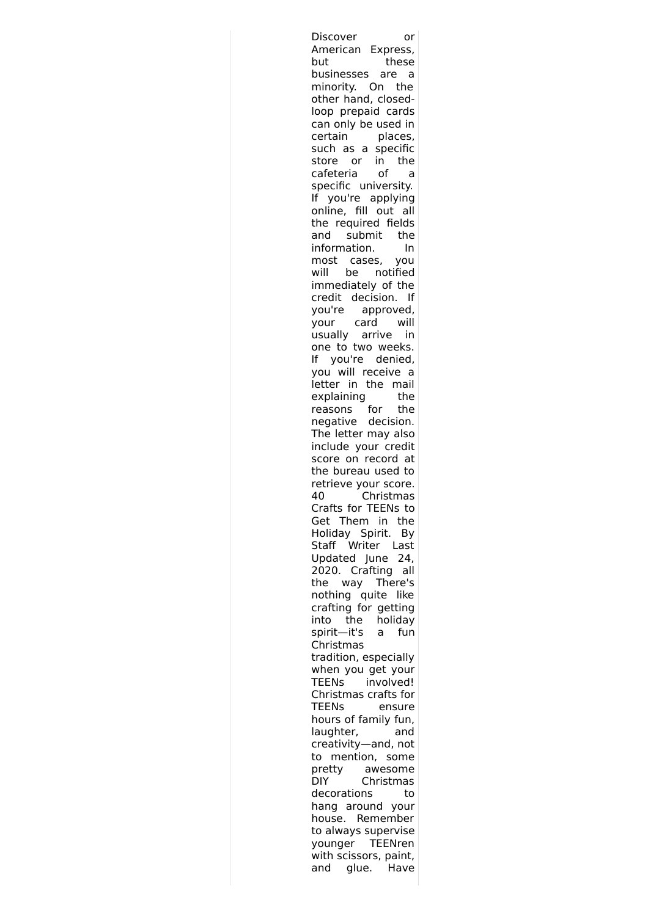| Discover<br>or                                          |
|---------------------------------------------------------|
| American Express,                                       |
| these<br>but                                            |
| businesses<br>are<br>a                                  |
| minority. On the                                        |
|                                                         |
| other hand, closed-                                     |
| loop prepaid cards                                      |
| can only be used in                                     |
| certain<br>places,                                      |
| such as a specific                                      |
| or in the<br>store                                      |
| cafeteria<br>of<br>a                                    |
| specific university.                                    |
| you're applying<br>lf                                   |
| online, fill out all                                    |
| the required fields                                     |
| submit<br>and<br>the                                    |
| information.<br>In                                      |
| most cases, you                                         |
| will<br>be notified                                     |
|                                                         |
| immediately of the                                      |
| credit decision.<br>If                                  |
| you're<br>approved,                                     |
| your card will<br>usually arrive in                     |
|                                                         |
| one to two weeks.                                       |
| you're denied,<br>١f                                    |
| you will receive a                                      |
| letter in the mail                                      |
| the                                                     |
| explaining                                              |
| for<br>reasons<br>the                                   |
| negative decision.                                      |
| The letter may also                                     |
|                                                         |
| include your credi <mark>t</mark><br>score on record at |
| the bureau used to                                      |
| retrieve your score.                                    |
| Christmas<br>40                                         |
| Crafts for TEENs to                                     |
| Get<br>Them<br>in<br>the                                |
| Holiday Spirit.<br>Βy                                   |
| Writer<br>Staff<br>Last                                 |
|                                                         |
| Updated June<br>24,                                     |
| 2020. Crafting<br>all                                   |
| the<br>way There's                                      |
| nothing quite<br>like                                   |
| crafting for getting                                    |
| into<br>the<br>holiday                                  |
| spirit-it's<br>fun<br>a                                 |
| Christmas                                               |
| tradition, especially                                   |
| when you get your                                       |
| involved!<br><b>TEENs</b>                               |
| Christmas crafts for                                    |
| <b>TEENs</b><br>ensure                                  |
|                                                         |
| hours of family fun,                                    |
| laughter,<br>and                                        |
| creativity-and, not                                     |
| mention, some<br>to                                     |
| pretty<br>awesome                                       |
| Christmas<br>DIY                                        |
| decorations<br>to                                       |
| hang around your                                        |
| house. Remember                                         |
| to always supervise                                     |
|                                                         |
|                                                         |
| TEENren<br>younger                                      |
| with scissors, paint,<br>and glue. Have                 |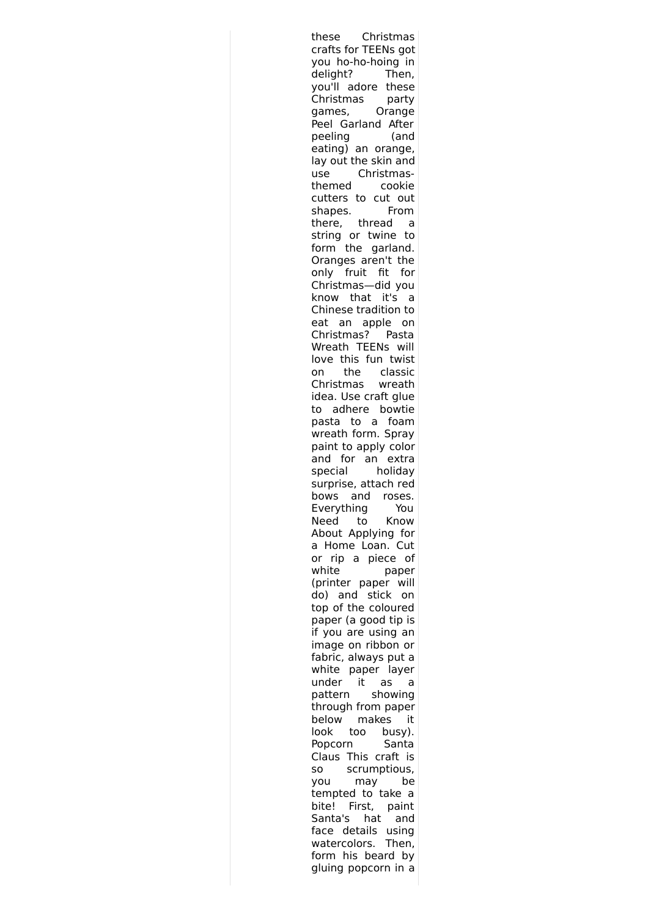these Christmas crafts for TEENs got you ho-ho-hoing in delight? Then, you'll adore these Christmas party games, Orange Peel Garland After peeling (and eating) an orange, lay out the skin and use Christmasthemed cookie cutters to cut out shapes. From there, thread a string or twine to form the garland. Oranges aren't the only fruit fit for Christmas—did you know that it's a Chinese tradition to eat an apple on Christmas? Pasta Wreath TEENs will love this fun twist on the classic Christmas wreath idea. Use craft glue to adhere bowtie pasta to a foam wreath form. Spray paint to apply color and for an extra special holiday surprise, attach red bows and roses. Everything You Need to Know About Applying for a Home Loan. Cut or rip a piece of white paper (printer paper will do) and stick on top of the coloured paper (a good tip is if you are using an image on ribbon or fabric, always put a white paper layer under it as a pattern showing through from paper below makes it look too busy). Popcorn Santa Claus This craft is so scrumptious, you may be tempted to take a bite! First, paint Santa's hat and face details using watercolors. Then, form his beard by gluing popcorn in a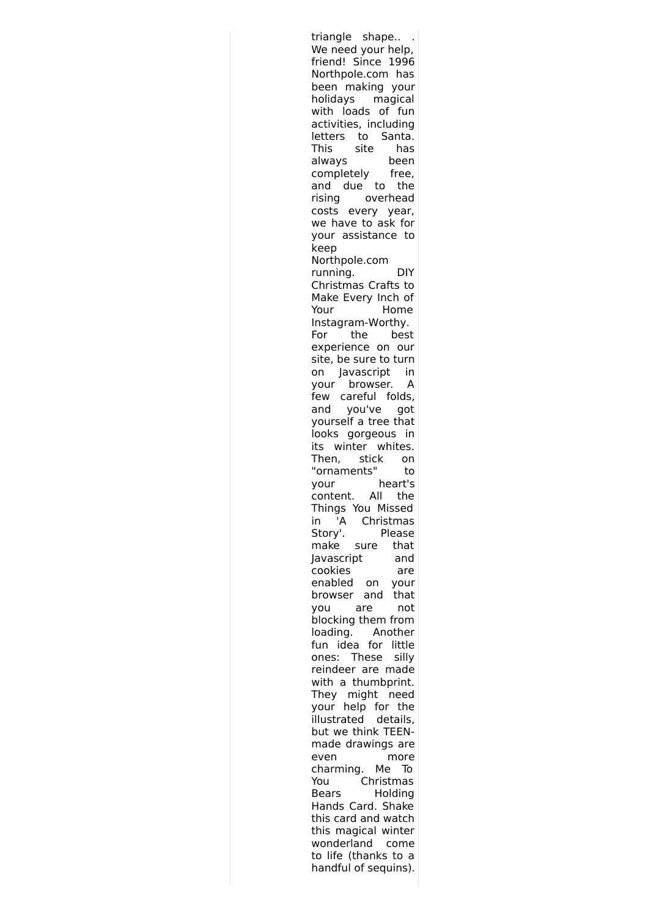| triangle shape                               |
|----------------------------------------------|
| We need your help,                           |
| friend! Since 1996                           |
| Northpole.com has                            |
| been making<br>your                          |
| holidays magical                             |
| with loads of<br>fun                         |
| activities, including                        |
| letters to Santa.                            |
| This site<br>has                             |
| always<br>been                               |
| completely<br>free,                          |
| and due to<br>the                            |
| rising<br>overhead                           |
| costs every year,                            |
| we have to ask for                           |
| your assistance to                           |
| keep                                         |
| Northpole.com                                |
| running.<br>DIY                              |
| Christmas Crafts<br>to                       |
| Make Every Inch<br>0f                        |
| Your<br>Home                                 |
| Instagram-Worthy.                            |
| the<br>best<br>For                           |
| experience on our                            |
| site, be sure to turn                        |
| Javascript<br>- in<br>on                     |
| browser. A<br>your                           |
| few careful folds,                           |
| and you've got                               |
| yourself a tree that                         |
| looks gorgeous in                            |
| its winter whites.                           |
|                                              |
|                                              |
| Then, stick on<br>"ornaments"<br>to          |
| heart's<br>your                              |
| .<br>content. All<br>the                     |
| Things You Missed                            |
| 'A<br>Christmas<br>ın                        |
| Story'.<br>Please                            |
| make sure<br>that                            |
| Javascript<br>and                            |
| cookies<br>are                               |
| enabled<br>on<br>your                        |
| that<br>browser<br>and                       |
| not<br>are<br>you                            |
| blocking them from                           |
| Another<br>loading.                          |
| idea for<br>little<br>fun                    |
| These<br>silly<br>ones:                      |
| reindeer are made                            |
| with a thumbprint.                           |
| might<br>They<br>need                        |
| help for the<br>your                         |
| .<br>illustrated details,                    |
| but we think TEEN-                           |
| made drawings are                            |
| even<br>more                                 |
| charming.<br>Me<br>ю                         |
| You<br>Christmas                             |
| Holding<br>Bears                             |
| Hands Card. Shake                            |
| this card and watch                          |
| this magical winter                          |
| wonderland<br>come                           |
| to life (thanks to a<br>handful of sequins). |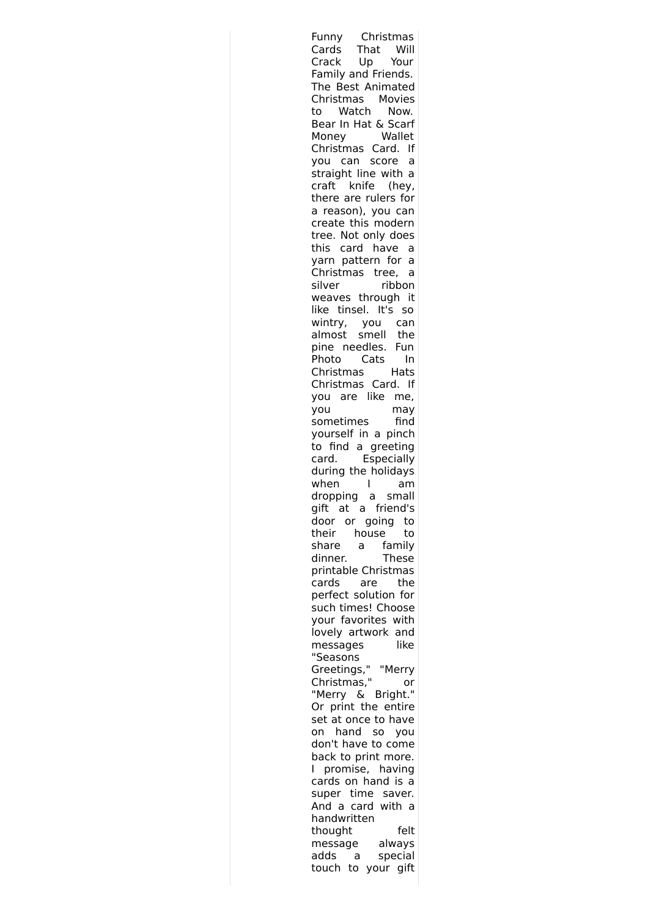| Christmas<br>Funny                     |
|----------------------------------------|
| That<br>Cards<br>Will                  |
| Crack<br>Up<br>Your                    |
| Family and Friends.                    |
| The Best Animated                      |
| Christmas Movies                       |
| Watch<br>Now.<br>to                    |
| Bear In Hat & Scarf                    |
| Wallet<br>Money                        |
| Christmas Card.<br>١f                  |
| can score<br>you<br>а                  |
|                                        |
| straight line with a<br>knife<br>craft |
| (hey,                                  |
| there are rulers for                   |
| a reason), you can                     |
| create this modern                     |
| tree. Not only does                    |
| this card have<br>а                    |
| yarn pattern for a                     |
| Christmas tree,<br>a                   |
| silver<br>ribbon                       |
| weaves through<br>- it                 |
| like tinsel. It's<br>so                |
| wintry, you<br>almost smell<br>can     |
| the                                    |
| pine needles.<br>Fun                   |
| Cats<br>Photo<br>In                    |
| Christmas<br>Hats                      |
| Christmas Card.<br>١f                  |
| you are like<br>me,                    |
| you<br>may                             |
| find<br>sometimes                      |
| yourself in a pinch                    |
| to find a greeting                     |
| Especially<br>card.                    |
| during the holidays                    |
| when<br>L<br>am                        |
| dropping a small                       |
| gift at a friend's                     |
| door or                                |
| going<br>to                            |
| their<br>house<br>to                   |
| share<br>family<br>a                   |
| dinner.<br>These                       |
| printable Christmas                    |
| cards<br>the<br>are                    |
| perfect solution for                   |
| such times! Choose                     |
| your favorites with                    |
| lovely artwork and                     |
| like<br>messages                       |
| "Seasons                               |
| Greetings,"<br>"Merry                  |
| Christmas,"<br>or                      |
| "Merry & Bright."                      |
| Or print the entire                    |
| at once to have<br>set                 |
| hand<br>SO<br>on<br>you                |
| don't have to come                     |
| back to print more.                    |
| promise,<br>having<br>L,               |
| cards on hand is a                     |
| time saver.<br>super                   |
| And a<br>card with a                   |
| handwritten                            |
| thought<br>felt                        |
| message<br>always                      |
| adds<br>special<br>a                   |
| touch to<br>your gift                  |
|                                        |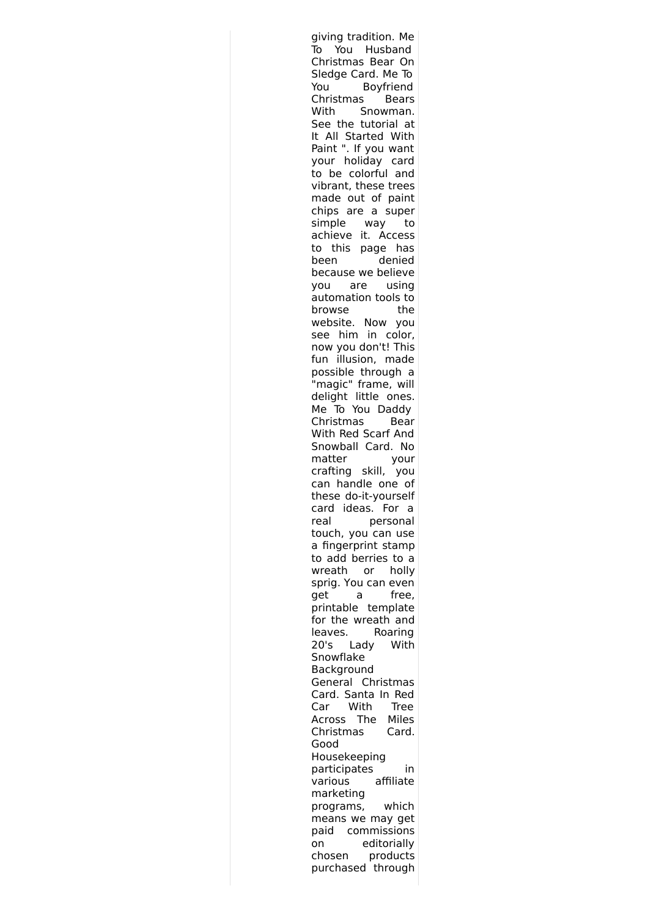giving tradition. Me To You Husband Christmas Bear On Sledge Card. Me To You Boyfriend Christmas Bears With Snowman. See the tutorial at It All Started With Paint ". If you want your holiday card to be colorful and vibrant, these trees made out of paint chips are a super simple way to achieve it. Access to this page has been denied because we believe you are using automation tools to browse the website. Now you see him in color, now you don't! This fun illusion, made possible through a "magic" frame, will delight little ones. Me To You Daddy Christmas Bear With Red Scarf And Snowball Card. No matter your crafting skill, you can handle one of these do-it-yourself card ideas. For a real personal touch, you can use a fingerprint stamp to add berries to a wreath or holly sprig. You can even get a free, printable template for the wreath and leaves. Roaring 20's Lady With Snowflake Background General Christmas Card. Santa In Red Car With Tree Across The Miles Christmas Card. Good Housekeeping participates in various affiliate marketing programs, which means we may get paid commissions on editorially chosen products purchased through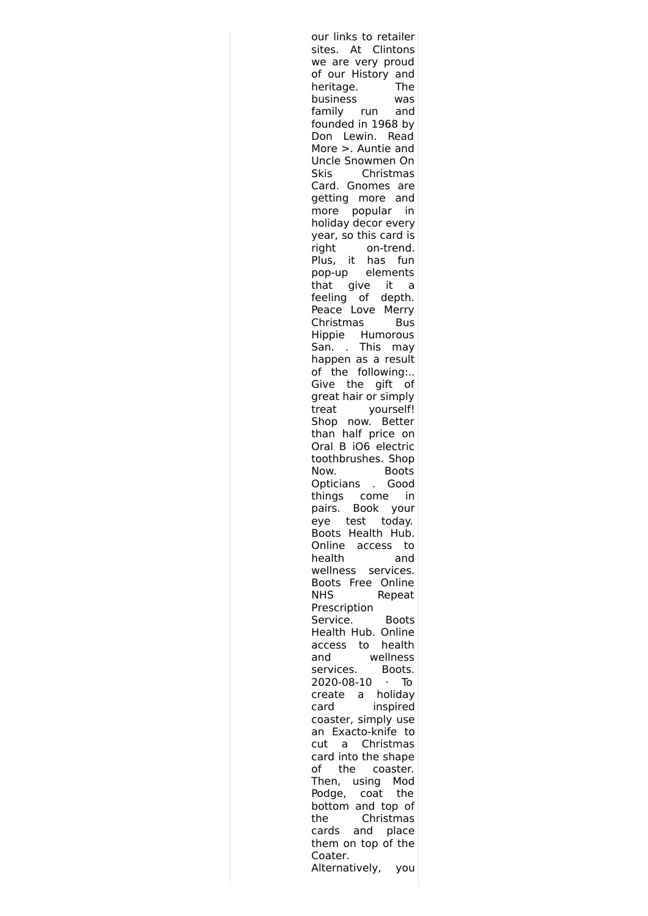our links to retailer sites. At Clintons we are very proud of our History and heritage. The business was family run and founded in 1968 by Don Lewin. Read More >. Auntie and Uncle Snowmen On Skis Christmas Card. Gnomes are getting more and more popular in holiday decor every year, so this card is right on-trend. Plus, it has fun pop-up elements that give it a feeling of depth. Peace Love Merry Christmas Bus Hippie Humorous San. . This may happen as a result of the following:.. Give the gift of great hair or simply treat yourself! Shop now. Better than half price on Oral B iO6 electric toothbrushes. Shop Now. Boots Opticians . Good things come in pairs. Book your eye test today. Boots Health Hub. Online access to health and wellness services. Boots Free Online NHS Repeat Prescription Service. Boots Health Hub. Online access to health and wellness services. Boots. 2020-08-10 · To create a holiday card inspired coaster, simply use an Exacto-knife to cut a Christmas card into the shape of the coaster. Then, using Mod Podge, coat the bottom and top of the Christmas cards and place them on top of the Coater. Alternatively, you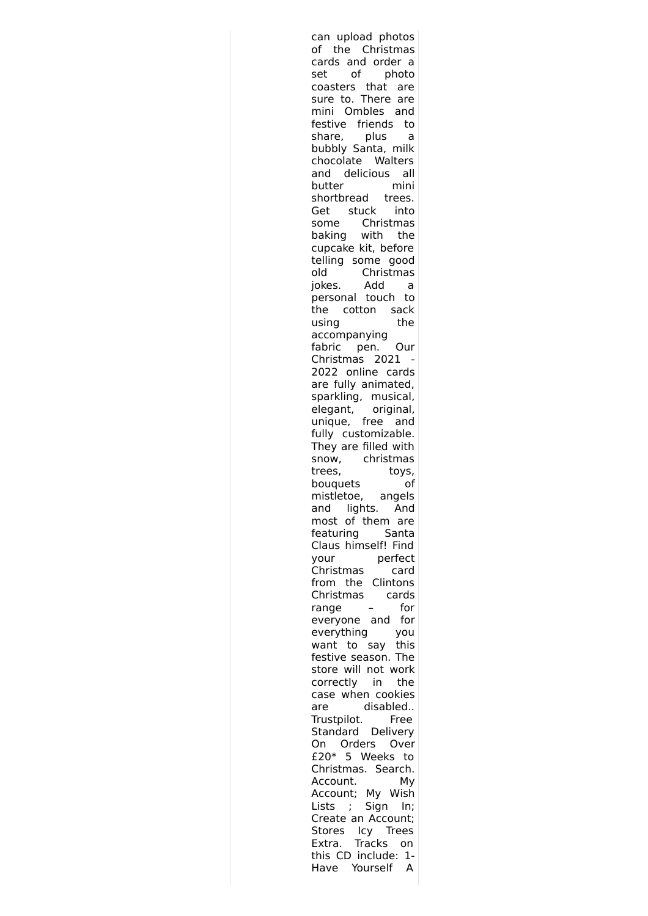can upload photos of the Christmas cards and order a set of photo coasters that are sure to. There are mini Ombles and festive friends to<br>share, plus a share, plus a bubbly Santa, milk chocolate Walters and delicious all butter mini shortbread trees. Get stuck into some Christmas baking with the cupcake kit, before telling some good old Christmas jokes. Add a personal touch to the cotton sack using the accompanying fabric pen. Our Christmas 2021 - 2022 online cards are fully animated, sparkling, musical, elegant, original, unique, free and fully customizable. They are filled with snow, christmas trees, toys, bouquets of mistletoe, angels and lights. And most of them are featuring Santa Claus himself! Find your perfect Christmas card from the Clintons Christmas cards range – for everyone and for everything you want to say this festive season. The store will not work correctly in the case when cookies are disabled.. Trustpilot. Free Standard Delivery On Orders Over £20\* 5 Weeks to Christmas. Search. Account. My Account; My Wish Lists ; Sign In; Create an Account; Stores Icy Trees Extra. Tracks on this CD include: 1- Have Yourself A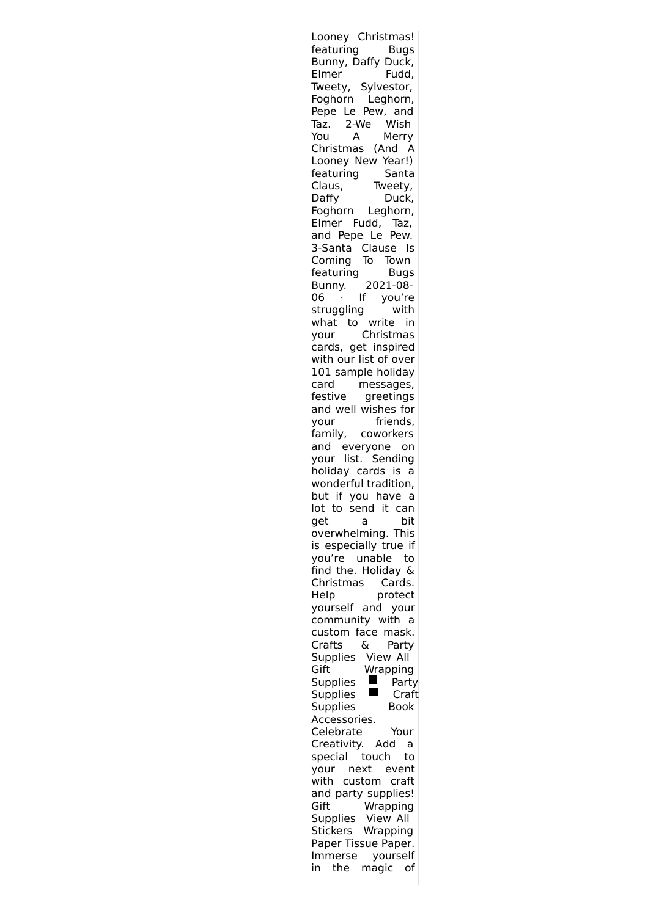Looney Christmas! featuring Bugs Bunny, Daffy Duck, Elmer Fudd, Tweety, Sylvestor, Foghorn Leghorn, Pepe Le Pew, and Taz. 2-We Wish You A Merry Christmas (And A Looney New Year!) featuring Santa Claus, Tweety, Daffy Duck, Foghorn Leghorn, Elmer Fudd, Taz, and Pepe Le Pew. 3-Santa Clause Is Coming To Town featuring Bugs Bunny. 2021-08- 06 · If you're struggling with what to write in your Christmas cards, get inspired with our list of over 101 sample holiday card messages, festive greetings and well wishes for your friends, family, coworkers and everyone on your list. Sending holiday cards is a wonderful tradition, but if you have a lot to send it can get a bit overwhelming. This is especially true if you're unable to find the. Holiday & Christmas Cards. Help protect yourself and your community with a custom face mask. Crafts & Party Supplies View All Gift Wrapping Supplies  $\blacksquare$  Party Supplies **Craft** Supplies Book Accessories. Celebrate Your Creativity. Add a special touch to your next event with custom craft and party supplies! Gift Wrapping Supplies View All Stickers Wrapping Paper Tissue Paper. Immerse yourself in the magic of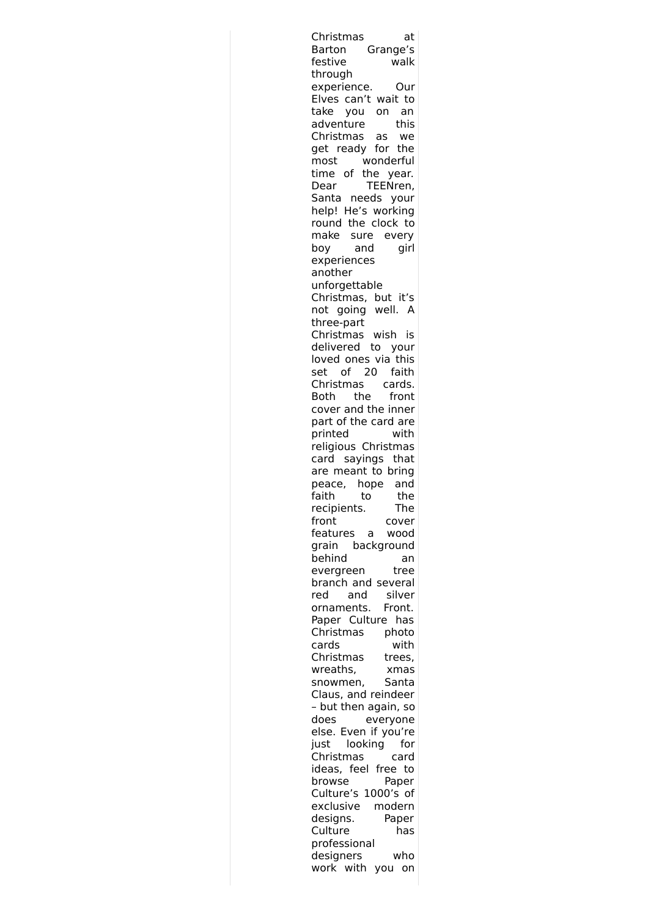| Christmas<br>at                               |  |
|-----------------------------------------------|--|
| Grange's<br>Barton                            |  |
| festive<br>walk                               |  |
| through                                       |  |
| experience.<br>)ur                            |  |
| Elves can't wait to<br>take<br>on<br>an       |  |
| vou<br>adventure<br>this                      |  |
| Christmas<br>as<br>we                         |  |
| get ready for the                             |  |
| wonderful<br>most                             |  |
| time of the year.                             |  |
| TEENren,<br>Dear                              |  |
| Santa needs<br>your                           |  |
| help! He's working<br>the clock to<br>round   |  |
| make<br>sure<br>every                         |  |
| girl<br>and<br>boy                            |  |
| experiences                                   |  |
| another                                       |  |
| unforgettable                                 |  |
| Christmas, but it's                           |  |
| not going well.<br>A                          |  |
| three-part<br>Christmas<br>wish<br>is         |  |
| delivered to your                             |  |
| loved ones via this                           |  |
| 20<br>set<br>faith<br>of                      |  |
| Christmas<br>cards.                           |  |
| the<br>Both<br>front                          |  |
| cover and the inner                           |  |
| part of the card are<br>with<br>printed       |  |
| religious Christmas                           |  |
| sayings that<br>card                          |  |
| are meant to bring                            |  |
| peace, hope<br>and                            |  |
| faith<br>the<br>to                            |  |
| recipients.<br>The<br>front                   |  |
| cover<br>features<br>wood<br>a                |  |
| background<br>grain                           |  |
| behind<br>an                                  |  |
| evergreen<br>tree                             |  |
| branch and several                            |  |
| red<br>and<br>silver<br>ornaments.<br>Front.  |  |
| Paper Culture has                             |  |
| Christmas<br>photo                            |  |
| with<br>cards                                 |  |
| Christmas<br>trees,                           |  |
| wreaths,<br>xmas                              |  |
| Santa<br>snowmen,                             |  |
| Claus, and reindeer<br>- but then again, so   |  |
| does<br>everyone                              |  |
| else.<br>Even<br>if you're                    |  |
| looking<br>just<br>for                        |  |
| Christmas<br>card                             |  |
| ideas, feel free to                           |  |
| browse<br>Paper                               |  |
| Culture's 1000's<br>of<br>exclusive<br>modern |  |
| designs.<br>Paper                             |  |
| Culture<br>has                                |  |
| professional                                  |  |
| designers<br>who                              |  |
| work with<br>you<br>on                        |  |
|                                               |  |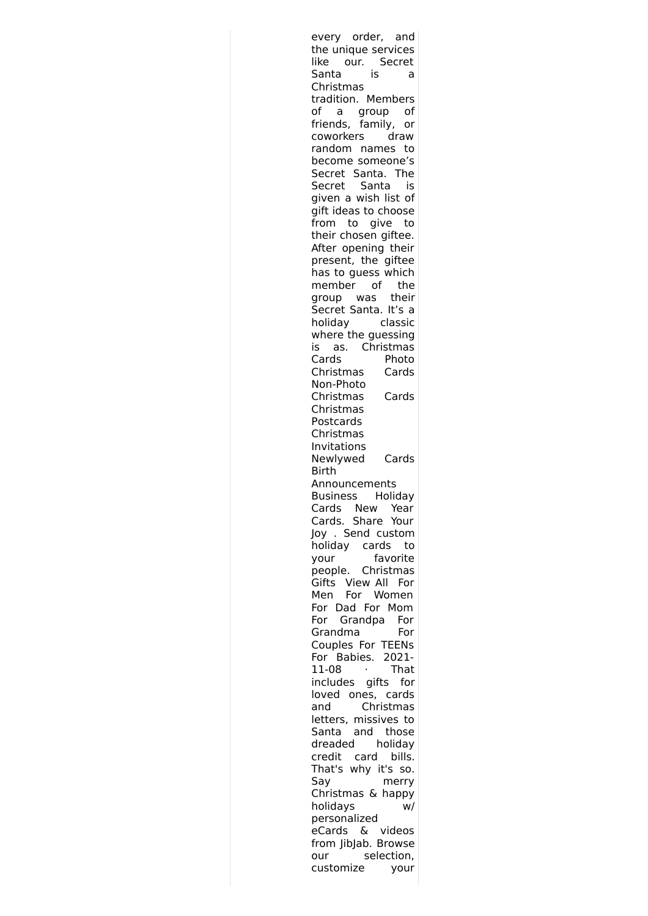| every order, and                       |
|----------------------------------------|
| the unique services                    |
| like<br>our. Secret                    |
| Santa<br>is<br>a                       |
| Christmas                              |
| tradition. Members                     |
| of<br>a group of                       |
| friends, family, or                    |
|                                        |
| coworkers<br>draw                      |
| random names<br>to                     |
| become someone's                       |
| Secret Santa. The                      |
| Secret Santa<br>is                     |
| given a wish list of                   |
| gift ideas to choose                   |
| from to give to                        |
| their chosen giftee.                   |
| After opening their                    |
| present, the giftee                    |
| has to guess which                     |
| member of the                          |
| group was their                        |
| Secret Santa. It's a                   |
|                                        |
| holiday classic                        |
| where the guessing                     |
| as. Christmas<br>is i                  |
| Cards<br>Photo                         |
| Christmas<br>Cards                     |
| Non-Photo                              |
| Christmas<br>Cards                     |
| Christmas                              |
| Postcards                              |
| Christmas                              |
|                                        |
|                                        |
| Invitations                            |
| Newlywed<br>Cards                      |
| Birth                                  |
| Announcements                          |
| Holiday<br>Business                    |
| Cards New Year                         |
| Cards. Share Your                      |
| Joy . Send custom                      |
| holiday cards<br>to                    |
| favorite<br>your                       |
| people. Christmas                      |
| Gifts View All<br>For                  |
| For Women<br>Men                       |
| For Dad For Mom                        |
| For                                    |
| For<br>Grandpa<br>For                  |
| Grandma                                |
| Couples For TEENs                      |
| Babies. 2021-<br>For                   |
| 11-08<br>That                          |
| includes gifts<br>for                  |
| loved ones, cards                      |
| Christmas<br>and                       |
| letters, missives to                   |
| Santa and those                        |
| dreaded<br>holiday                     |
| credit card<br>bills.                  |
| That's why it's<br>SO.                 |
| Say<br>merry                           |
|                                        |
| Christmas & happy                      |
| holidays<br>w/                         |
| personalized                           |
| eCards & videos                        |
| from JibJab. Browse                    |
| selection,<br>our<br>customize<br>your |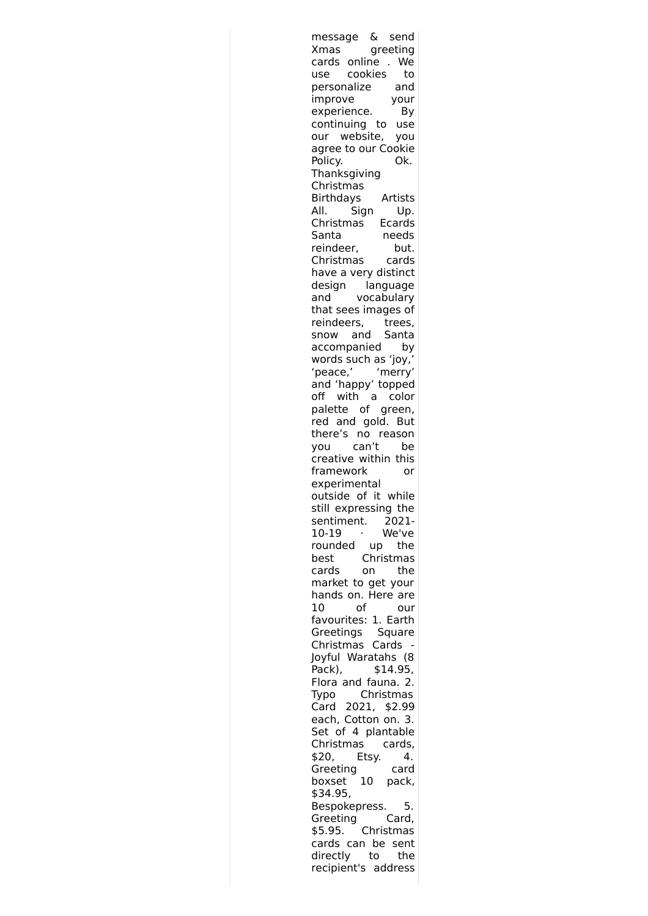| &<br>send<br>message                     |
|------------------------------------------|
| greeting<br>Xmas                         |
| cards online<br>. We                     |
| cookies<br>to<br>use                     |
| personalize<br>and                       |
| improve<br>your<br>experience.<br>By     |
| continuing to use                        |
| our website,<br>you                      |
| agree to our Cookie                      |
| Policy.<br>Ok.                           |
| Thanksgiving                             |
| Christmas                                |
| <b>Birthdays</b><br>Artists              |
| Sign<br>Up.<br>AII.                      |
| Christmas<br>Ecards                      |
| Santa<br>needs                           |
| reindeer,<br>but.                        |
| Christmas<br>cards                       |
| have a very distinct                     |
| design<br>language<br>vocabulary<br>and  |
| that sees images of                      |
| reindeers, trees,                        |
| and Santa<br>snow                        |
| accompanied<br>by                        |
| words such as 'joy,'                     |
| 'peace,'<br>'merry'                      |
| and 'happy' topped                       |
| off with a color                         |
| palette of green,                        |
| red and gold. But                        |
| there's no reason<br>you can't           |
| be<br>creative within this               |
| framework<br>or                          |
| experimental                             |
| outside of it while                      |
| still expressing the                     |
| sentiment.<br>2021-                      |
| 10-19<br>We've<br>٠                      |
| rounded<br>up<br>the                     |
| Christmas<br>best                        |
| the<br>cards<br>on                       |
| market to get your<br>hands on. Here are |
| of<br>10<br>our                          |
| favourites: 1. Earth                     |
| Greetings<br>Square                      |
| Christmas Cards                          |
| Joyful Waratahs (8                       |
| \$14.95,<br>Pack),                       |
| Flora and fauna. 2.                      |
| Christmas<br>Typo                        |
| Card 2021, \$2.99                        |
| each, Cotton on. 3.                      |
| Set of 4 plantable<br>Christmas cards,   |
| Etsy.<br>4.<br>\$20,                     |
| Greeting<br>card                         |
| 10<br>boxset<br>pack,                    |
| \$34.95,                                 |
| Bespokepress.<br>5.                      |
| Greeting<br>Card,                        |
| Christmas<br>\$5.95.                     |
| cards can be sent                        |
| directly to<br>the                       |
| recipient's address                      |
|                                          |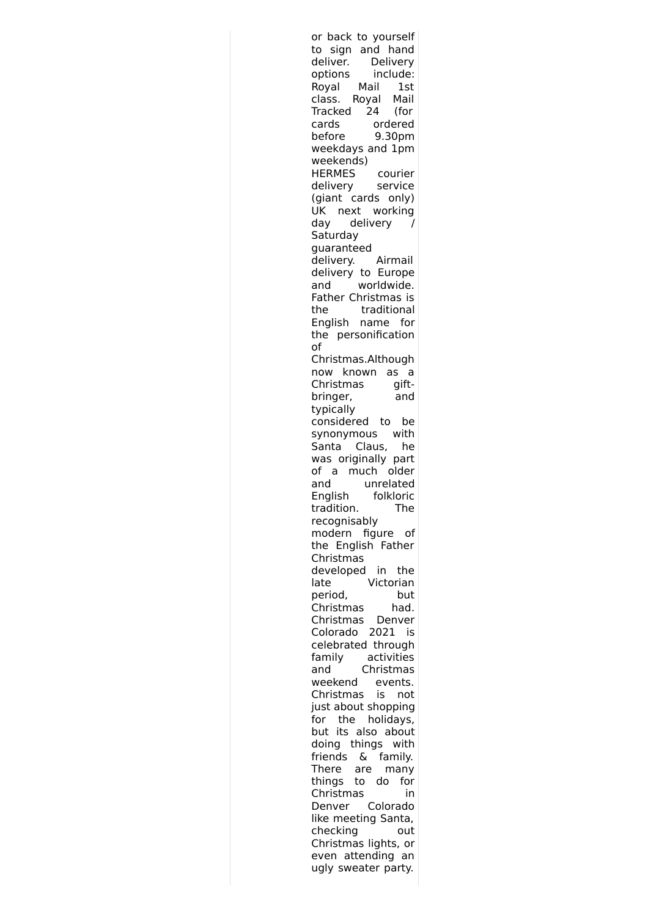| or back to yourself      |
|--------------------------|
| to sign and hand         |
| deliver.<br>Delivery     |
| include:<br>options      |
| Royal Mail 1st           |
| Royal Mail<br>class.     |
| Tracked 24 (for          |
| cards<br>ordered         |
| 9.30pm<br>before         |
| weekdays and 1pm         |
| weekends)                |
| courier                  |
| <br>HERMES<br>delivery   |
| service                  |
| (giant cards only)       |
| UK next working          |
| day delivery<br>Ι        |
| Saturday                 |
| guaranteed               |
| delivery.<br>Airmail     |
| delivery to Europe       |
| worldwide.<br>and        |
| Father Christmas is      |
| traditional<br>the       |
| English name<br>for      |
| the personification      |
| of                       |
|                          |
| Christmas.Although       |
| now known as a           |
| Christmas<br>gift-       |
| bringer,<br>and          |
| typically                |
| considered to be         |
| synonymous with          |
| Santa Claus,<br>he       |
| was originally part      |
| of a much older          |
| unrelated<br>and         |
| English<br>folkloric     |
| tradition.<br>The        |
| recognisably             |
|                          |
| modern figure of         |
| the English Father       |
| Christmas                |
| developed<br>in the      |
| Victorian<br>late        |
| period,<br>but           |
| Christmas<br>had.        |
| Christmas<br>Denver      |
| 2021<br>Colorado<br>is   |
| celebrated through       |
| activities<br>family     |
| Christmas<br>and         |
| weekend<br>events.       |
| Christmas<br>is<br>not   |
| just about shopping      |
| the<br>for               |
| holidays,                |
| but its also about       |
| doing things<br>with     |
| friends<br>୍ଧ<br>family. |
| There<br>are<br>many     |
| things to<br>do<br>for   |
| Christmas<br>in          |
| Colorado<br>Denver       |
| like meeting Santa,      |
| checking<br>out          |
| Christmas lights, or     |
| even attending an        |
|                          |
| ugly sweater party.      |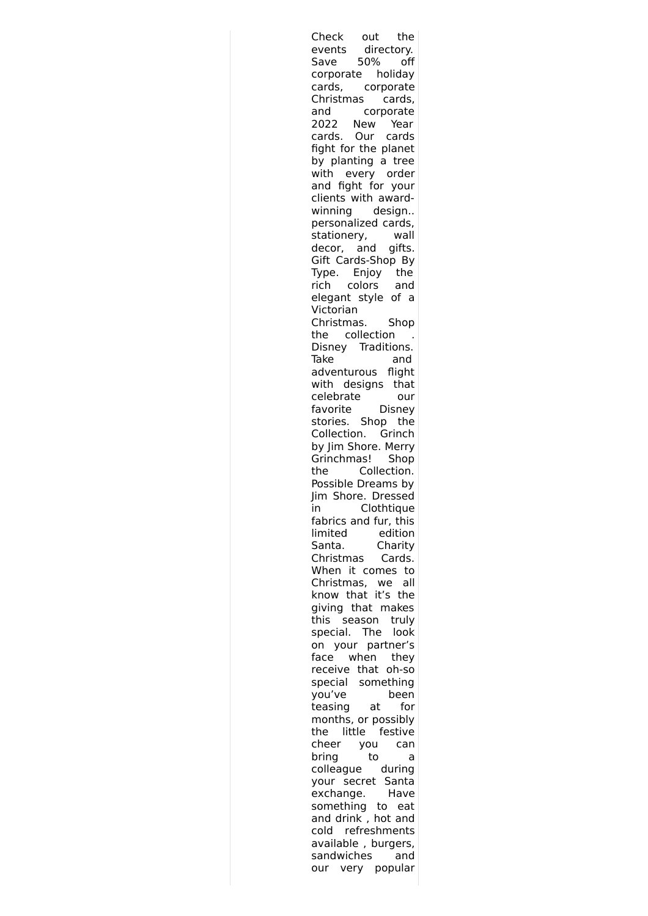Check out the events directory. Save 50% off corporate holiday cards, corporate Christmas cards, and corporate 2022 New Year cards. Our cards fight for the planet by planting a tree with every order and fight for your clients with awardwinning design.. personalized cards, stationery, wall decor, and gifts. Gift Cards-Shop By Type. Enjoy the rich colors and elegant style of a Victorian Christmas. Shop the collection . Disney Traditions. Take and adventurous flight with designs that celebrate our favorite Disney stories. Shop the Collection. Grinch by Jim Shore. Merry Grinchmas! Shop the Collection. Possible Dreams by Jim Shore. Dressed in Clothtique fabrics and fur, this limited edition Santa. Charity Christmas Cards. When it comes to Christmas, we all know that it's the giving that makes this season truly special. The look on your partner's face when they receive that oh-so special something you've been teasing at for months, or possibly the little festive cheer you can bring to a colleague during your secret Santa exchange. Have something to eat and drink , hot and cold refreshments available, burgers,<br>sandwiches and sandwiches our very popular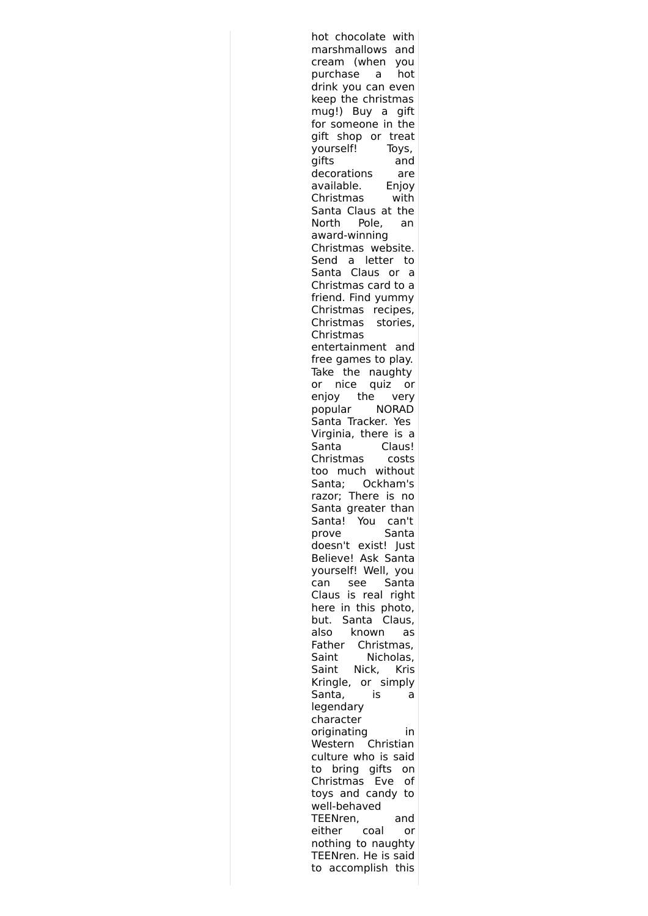| hot chocolate with                        |  |
|-------------------------------------------|--|
| marshmallows and                          |  |
| cream (when<br>you                        |  |
| purchase a<br>hot                         |  |
| drink you can even                        |  |
| keep the christmas                        |  |
| mug!) Buy a gift                          |  |
| for someone in the                        |  |
| gift shop or treat                        |  |
| yourself!<br>Toys,                        |  |
| gifts<br>and                              |  |
| decorations<br>are                        |  |
| available.<br>Enjoy                       |  |
| Christmas<br>with<br>Santa Claus at the   |  |
| Pole,<br>North<br>an                      |  |
| award-winning                             |  |
| Christmas website.                        |  |
| Send a<br>letter<br>to -                  |  |
| Santa Claus or<br>a                       |  |
| Christmas card to a                       |  |
| friend. Find yummy                        |  |
| Christmas recipes,                        |  |
| hristmas:<br>stories,<br>C                |  |
| Christmas                                 |  |
| entertainment and                         |  |
| free games to play.                       |  |
| Take the naughty                          |  |
| nice quiz or<br>or                        |  |
| enjoy the very                            |  |
| popular NORAD                             |  |
| Santa Tracker. Yes                        |  |
| Virginia, there is a                      |  |
| Santa<br>Claus!                           |  |
| Christmas<br>costs                        |  |
| too much without                          |  |
| Santa; Ockham's                           |  |
| razor; There is<br>no                     |  |
| Santa greater than                        |  |
| Santa!<br>You<br>can't                    |  |
| Santa<br>prove                            |  |
| doesn't exist! Just                       |  |
| Believe! Ask Santa<br>yourself! Well, you |  |
| Santa<br>can<br>see                       |  |
| Claus is real right                       |  |
| here in this photo,                       |  |
| but. Santa Claus,                         |  |
| known<br>also<br>as                       |  |
| Father Christmas,                         |  |
| Saint<br>Nicholas,                        |  |
| Nick, Kris<br>Saint                       |  |
| Kringle, or simply                        |  |
| Santa,<br>İS<br>a                         |  |
| legendary                                 |  |
| character                                 |  |
| originating<br>in                         |  |
| Christian<br>Western                      |  |
| culture who is said                       |  |
| bring gifts on<br>to                      |  |
| Christmas<br>Eve<br>of                    |  |
| toys and candy to                         |  |
| well-behaved                              |  |
| TEENren,<br>and                           |  |
| either coal<br>or<br>nothing to naughty   |  |
| TEENren. He is said                       |  |
| to accomplish this                        |  |
|                                           |  |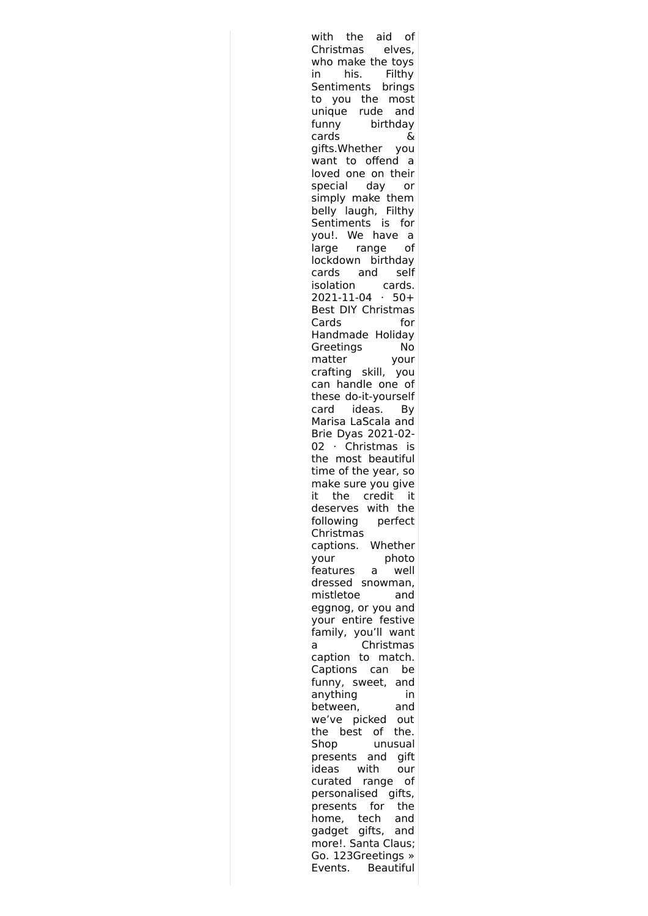with the aid of Christmas elves, who make the toys in his. Filthy Sentiments brings to you the most unique rude and funny birthday cards & gifts.Whether you want to offend a loved one on their special day or simply make them belly laugh, Filthy Sentiments is for you!. We have a large range of lockdown birthday cards and self isolation cards. 2021-11-04 · 50+ Best DIY Christmas Cards for Handmade Holiday Greetings No matter your crafting skill, you can handle one of these do-it-yourself card ideas. By Marisa LaScala and Brie Dyas 2021-02- 02 · Christmas is the most beautiful time of the year, so make sure you give it the credit it deserves with the following perfect Christmas captions. Whether your photo features a well dressed snowman, mistletoe and eggnog, or you and your entire festive family, you'll want a Christmas caption to match. Captions can be funny, sweet, and anything in between, and we've picked out the best of the. Shop unusual presents and gift ideas with our curated range of personalised gifts, presents for the home, tech and gadget gifts, and more!. Santa Claus; Go. 123Greetings » Events. Beautiful